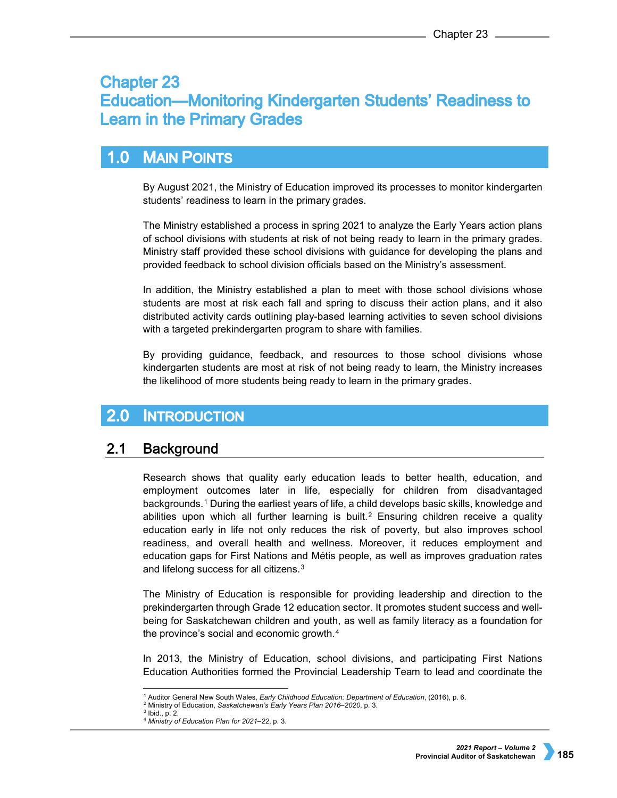# **Chapter 23 Education—Monitoring Kindergarten Students' Readiness to Learn in the Primary Grades**

## $1.0$ **MAIN POINTS**

By August 2021, the Ministry of Education improved its processes to monitor kindergarten students' readiness to learn in the primary grades.

The Ministry established a process in spring 2021 to analyze the Early Years action plans of school divisions with students at risk of not being ready to learn in the primary grades. Ministry staff provided these school divisions with guidance for developing the plans and provided feedback to school division officials based on the Ministry's assessment.

In addition, the Ministry established a plan to meet with those school divisions whose students are most at risk each fall and spring to discuss their action plans, and it also distributed activity cards outlining play-based learning activities to seven school divisions with a targeted prekindergarten program to share with families.

By providing guidance, feedback, and resources to those school divisions whose kindergarten students are most at risk of not being ready to learn, the Ministry increases the likelihood of more students being ready to learn in the primary grades.

## $2.0$ **INTRODUCTION**

#### $2.1$ **Background**

Research shows that quality early education leads to better health, education, and employment outcomes later in life, especially for children from disadvantaged backgrounds.[1](#page-0-0) During the earliest years of life, a child develops basic skills, knowledge and abilities upon which all further learning is built.<sup>[2](#page-0-1)</sup> Ensuring children receive a quality education early in life not only reduces the risk of poverty, but also improves school readiness, and overall health and wellness. Moreover, it reduces employment and education gaps for First Nations and Métis people, as well as improves graduation rates and lifelong success for all citizens.[3](#page-0-2)

The Ministry of Education is responsible for providing leadership and direction to the prekindergarten through Grade 12 education sector. It promotes student success and wellbeing for Saskatchewan children and youth, as well as family literacy as a foundation for the province's social and economic growth.[4](#page-0-3)

In 2013, the Ministry of Education, school divisions, and participating First Nations Education Authorities formed the Provincial Leadership Team to lead and coordinate the

 <sup>1</sup> Auditor General New South Wales, *Early Childhood Education: Department of Education*, (2016), p. 6.

<sup>2</sup> Ministry of Education, *Saskatchewan's Early Years Plan 2016–2020*, p. 3.

<span id="page-0-3"></span><span id="page-0-2"></span><span id="page-0-1"></span><span id="page-0-0"></span><sup>3</sup> Ibid., p. 2.

<sup>4</sup> *Ministry of Education Plan for 2021–22*, p. 3.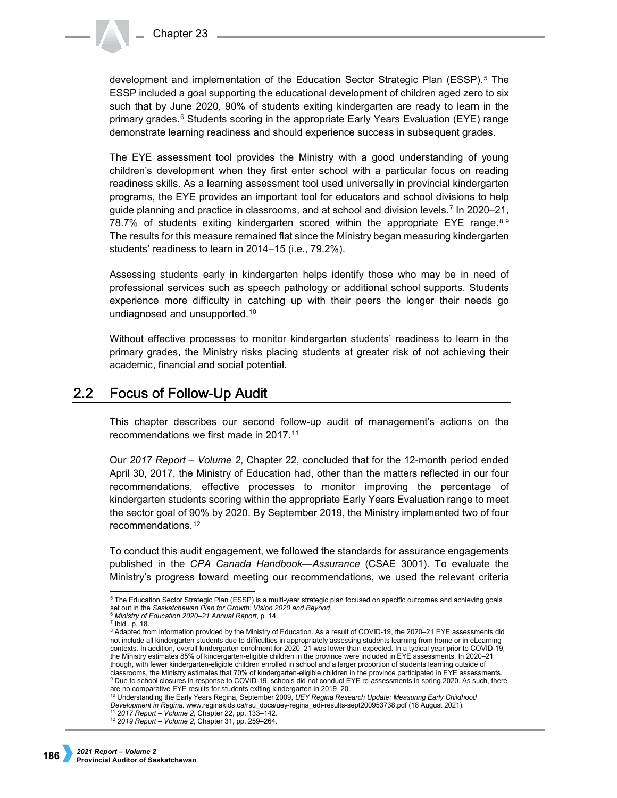development and implementation of the Education Sector Strategic Plan (ESSP).[5](#page-1-0) The ESSP included a goal supporting the educational development of children aged zero to six such that by June 2020, 90% of students exiting kindergarten are ready to learn in the primary grades.[6](#page-1-1) Students scoring in the appropriate Early Years Evaluation (EYE) range demonstrate learning readiness and should experience success in subsequent grades.

The EYE assessment tool provides the Ministry with a good understanding of young children's development when they first enter school with a particular focus on reading readiness skills. As a learning assessment tool used universally in provincial kindergarten programs, the EYE provides an important tool for educators and school divisions to help guide planning and practice in classrooms, and at school and division levels.[7](#page-1-2) In 2020–21, 7[8](#page-1-3).7% of students exiting kindergarten scored within the appropriate EYE range.<sup>8,[9](#page-1-4)</sup> The results for this measure remained flat since the Ministry began measuring kindergarten students' readiness to learn in 2014–15 (i.e., 79.2%).

Assessing students early in kindergarten helps identify those who may be in need of professional services such as speech pathology or additional school supports. Students experience more difficulty in catching up with their peers the longer their needs go undiagnosed and unsupported.[10](#page-1-5)

Without effective processes to monitor kindergarten students' readiness to learn in the primary grades, the Ministry risks placing students at greater risk of not achieving their academic, financial and social potential.

#### $2.2\phantom{0}$ **Focus of Follow-Up Audit**

This chapter describes our second follow-up audit of management's actions on the recommendations we first made in 2017.[11](#page-1-6)

Our *2017 Report – Volume 2*, Chapter 22, concluded that for the 12-month period ended April 30, 2017, the Ministry of Education had, other than the matters reflected in our four recommendations, effective processes to monitor improving the percentage of kindergarten students scoring within the appropriate Early Years Evaluation range to meet the sector goal of 90% by 2020. By September 2019, the Ministry implemented two of four recommendations.[12](#page-1-7)

To conduct this audit engagement, we followed the standards for assurance engagements published in the *CPA Canada Handbook—Assurance* (CSAE 3001). To evaluate the Ministry's progress toward meeting our recommendations, we used the relevant criteria

<span id="page-1-5"></span><span id="page-1-4"></span><sup>10</sup> Understanding the Early Years Regina, September 2009, *UEY Regina Research Update: Measuring Early Childhood Development i[n Regina.](http://regina.www.reginakids.ca/rsu_docs/uey-regina_edi-results-sept200953738.pdf)* [www.reginakids.ca/rsu\\_docs/uey-regina\\_edi-results-sept200953738.pdf](http://regina.www.reginakids.ca/rsu_docs/uey-regina_edi-results-sept200953738.pdf) (18 August 2021). <sup>11</sup> *2017 Report – Volume 2*[, Chapter 22, pp. 133–142.](https://auditor.sk.ca/pub/publications/public_reports/2017/Volume_2/CH%2022_Education_Kindergarten.pdf)

<span id="page-1-0"></span> <sup>5</sup> The Education Sector Strategic Plan (ESSP) is a multi-year strategic plan focused on specific outcomes and achieving goals set out in the Saskatchewan Plan for Growth: Vision 2020 and Beyond.<br><sup>6</sup> Ministry of Education 2020–21 Annual Report, p. 14.

<span id="page-1-1"></span>

<span id="page-1-2"></span><sup>7</sup> Ibid., p. 18.

<span id="page-1-3"></span><sup>8</sup> Adapted from information provided by the Ministry of Education. As a result of COVID-19, the 2020–21 EYE assessments did not include all kindergarten students due to difficulties in appropriately assessing students learning from home or in eLearning contexts. In addition, overall kindergarten enrolment for 2020–21 was lower than expected. In a typical year prior to COVID-19, the Ministry estimates 85% of kindergarten-eligible children in the province were included in EYE assessments. In 2020–21 though, with fewer kindergarten-eligible children enrolled in school and a larger proportion of students learning outside of classrooms, the Ministry estimates that 70% of kindergarten-eligible children in the province participated in EYE assessments. 9 Due to school closures in response to COVID-19, schools did not conduct EYE re-assessments in spring 2020. As such, there are no comparative EYE results for students exiting kindergarten in 2019–20.

<span id="page-1-7"></span><span id="page-1-6"></span><sup>12</sup> *2019 Report – Volume 2*[, Chapter 31, pp. 259–264.](https://auditor.sk.ca/pub/publications/public_reports/2019/Volume_2/Chapter%2031%20-%20Education%E2%80%94Monitoring%20Kindergarten%20Students%E2%80%99%20Readiness%20to%20Learn%20in%20the%20Primary%20Grades.pdf)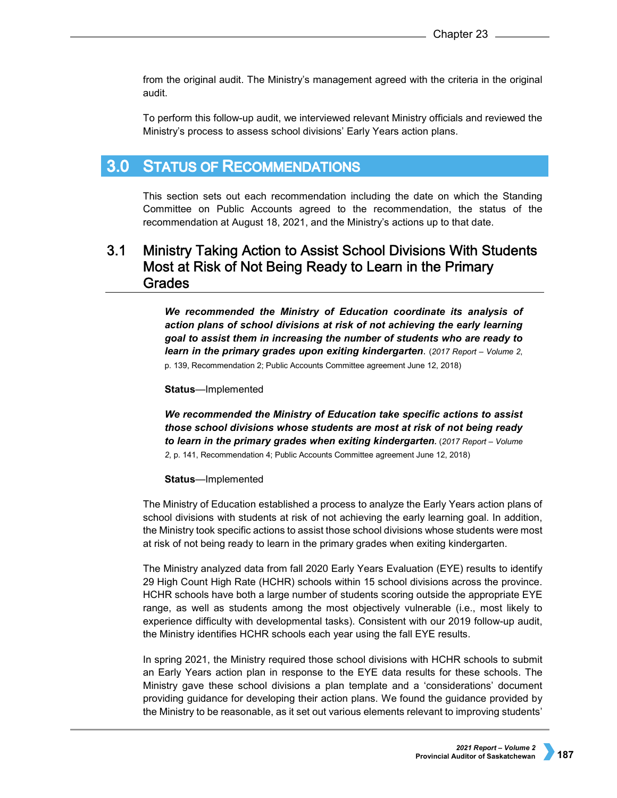from the original audit. The Ministry's management agreed with the criteria in the original audit.

To perform this follow-up audit, we interviewed relevant Ministry officials and reviewed the Ministry's process to assess school divisions' Early Years action plans.

#### $3.0<sub>2</sub>$ **STATUS OF RECOMMENDATIONS**

This section sets out each recommendation including the date on which the Standing Committee on Public Accounts agreed to the recommendation, the status of the recommendation at August 18, 2021, and the Ministry's actions up to that date.

# $3.1$ Ministry Taking Action to Assist School Divisions With Students Most at Risk of Not Being Ready to Learn in the Primary **Grades**

*We recommended the Ministry of Education coordinate its analysis of action plans of school divisions at risk of not achieving the early learning goal to assist them in increasing the number of students who are ready to learn in the primary grades upon exiting kindergarten*. (*2017 Report – Volume 2*, p. 139, Recommendation 2; Public Accounts Committee agreement June 12, 2018)

## **Status**—Implemented

*We recommended the Ministry of Education take specific actions to assist those school divisions whose students are most at risk of not being ready to learn in the primary grades when exiting kindergarten.* (*2017 Report – Volume 2*, p. 141, Recommendation 4; Public Accounts Committee agreement June 12, 2018)

## **Status**—Implemented

The Ministry of Education established a process to analyze the Early Years action plans of school divisions with students at risk of not achieving the early learning goal. In addition, the Ministry took specific actions to assist those school divisions whose students were most at risk of not being ready to learn in the primary grades when exiting kindergarten.

The Ministry analyzed data from fall 2020 Early Years Evaluation (EYE) results to identify 29 High Count High Rate (HCHR) schools within 15 school divisions across the province. HCHR schools have both a large number of students scoring outside the appropriate EYE range, as well as students among the most objectively vulnerable (i.e., most likely to experience difficulty with developmental tasks). Consistent with our 2019 follow-up audit, the Ministry identifies HCHR schools each year using the fall EYE results.

In spring 2021, the Ministry required those school divisions with HCHR schools to submit an Early Years action plan in response to the EYE data results for these schools. The Ministry gave these school divisions a plan template and a 'considerations' document providing guidance for developing their action plans. We found the guidance provided by the Ministry to be reasonable, as it set out various elements relevant to improving students'